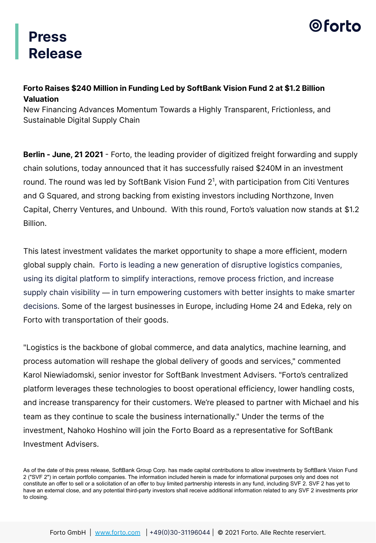## **Press Release**



#### **Forto Raises \$240 Million in Funding Led by SoftBank Vision Fund 2 at \$1.2 Billion Valuation**

New Financing Advances Momentum Towards a Highly Transparent, Frictionless, and Sustainable Digital Supply Chain

**Berlin - June, 21 2021** - Forto, the leading provider of digitized freight forwarding and supply chain solutions, today announced that it has successfully raised \$240M in an investment round. The round was led by SoftBank Vision Fund  $2<sup>1</sup>$ , with participation from Citi Ventures and G Squared, and strong backing from existing investors including Northzone, Inven Capital, Cherry Ventures, and Unbound. With this round, Forto's valuation now stands at \$1.2 Billion.

This latest investment validates the market opportunity to shape a more efficient, modern global supply chain. Forto is leading a new generation of disruptive logistics companies, using its digital platform to simplify interactions, remove process friction, and increase supply chain visibility — in turn empowering customers with better insights to make smarter decisions. Some of the largest businesses in Europe, including Home 24 and Edeka, rely on Forto with transportation of their goods.

"Logistics is the backbone of global commerce, and data analytics, machine learning, and process automation will reshape the global delivery of goods and services," commented Karol Niewiadomski, senior investor for SoftBank Investment Advisers. "Forto's centralized platform leverages these technologies to boost operational efficiency, lower handling costs, and increase transparency for their customers. We're pleased to partner with Michael and his team as they continue to scale the business internationally." Under the terms of the investment, Nahoko Hoshino will join the Forto Board as a representative for SoftBank Investment Advisers.

As of the date of this press release, SoftBank Group Corp. has made capital contributions to allow investments by SoftBank Vision Fund 2 ("SVF 2") in certain portfolio companies. The information included herein is made for informational purposes only and does not constitute an offer to sell or a solicitation of an offer to buy limited partnership interests in any fund, including SVF 2. SVF 2 has yet to have an external close, and any potential third-party investors shall receive additional information related to any SVF 2 investments prior to closing.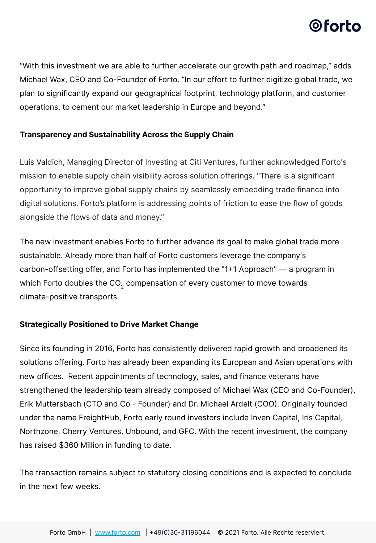## 0 forto

"With this investment we are able to further accelerate our growth path and roadmap," adds Michael Wax, CEO and Co-Founder of Forto. "In our effort to further digitize global trade, we plan to significantly expand our geographical footprint, technology platform, and customer operations, to cement our market leadership in Europe and beyond."

#### **Transparency and Sustainability Across the Supply Chain**

Luis Valdich, Managing Director of Investing at Citi Ventures, further acknowledged Forto's mission to enable supply chain visibility across solution offerings. "There is a significant opportunity to improve global supply chains by seamlessly embedding trade finance into digital solutions. Forto's platform is addressing points of friction to ease the flow of goods alongside the flows of data and money."

The new investment enables Forto to further advance its goal to make global trade more sustainable. Already more than half of Forto customers leverage the company's carbon-offsetting offer, and Forto has implemented the "1+1 Approach" — a program in which Forto doubles the CO $_{\textrm{\tiny{2}}}$  compensation of every customer to move towards climate-positive transports.

#### **Strategically Positioned to Drive Market Change**

Since its founding in 2016, Forto has consistently delivered rapid growth and broadened its solutions offering. Forto has already been expanding its European and Asian operations with new offices. Recent appointments of technology, sales, and finance veterans have strengthened the leadership team already composed of Michael Wax (CEO and Co-Founder), Erik Muttersbach (CTO and Co - Founder) and Dr. Michael Ardelt (COO. Originally founded under the name FreightHub, Forto early round investors include Inven Capital, Iris Capital, Northzone, Cherry Ventures, Unbound, and GFC. With the recent investment, the company has raised \$360 Million in funding to date.

The transaction remains subject to statutory closing conditions and is expected to conclude in the next few weeks.